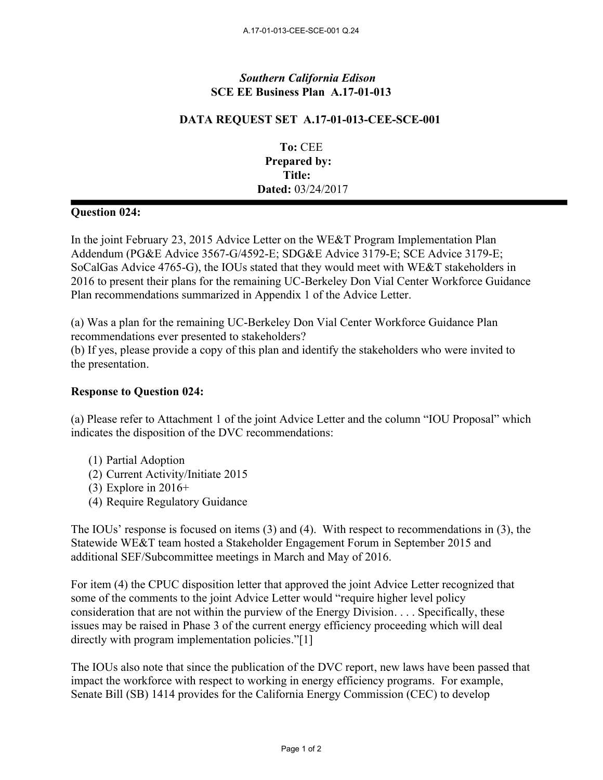## *Southern California Edison* **SCE EE Business Plan A.17-01-013**

## **DATA REQUEST SET A.17-01-013-CEE-SCE-001**

**To:** CEE **Prepared by: Title: Dated:** 03/24/2017

## **Question 024:**

In the joint February 23, 2015 Advice Letter on the WE&T Program Implementation Plan Addendum (PG&E Advice 3567-G/4592-E; SDG&E Advice 3179-E; SCE Advice 3179-E; SoCalGas Advice 4765-G), the IOUs stated that they would meet with WE&T stakeholders in 2016 to present their plans for the remaining UC-Berkeley Don Vial Center Workforce Guidance Plan recommendations summarized in Appendix 1 of the Advice Letter.

(a) Was a plan for the remaining UC-Berkeley Don Vial Center Workforce Guidance Plan recommendations ever presented to stakeholders?

(b) If yes, please provide a copy of this plan and identify the stakeholders who were invited to the presentation.

## **Response to Question 024:**

(a) Please refer to Attachment 1 of the joint Advice Letter and the column "IOU Proposal" which indicates the disposition of the DVC recommendations:

- (1) Partial Adoption
- (2) Current Activity/Initiate 2015
- $(3)$  Explore in 2016+
- (4) Require Regulatory Guidance

The IOUs' response is focused on items (3) and (4). With respect to recommendations in (3), the Statewide WE&T team hosted a Stakeholder Engagement Forum in September 2015 and additional SEF/Subcommittee meetings in March and May of 2016.

For item (4) the CPUC disposition letter that approved the joint Advice Letter recognized that some of the comments to the joint Advice Letter would "require higher level policy consideration that are not within the purview of the Energy Division. . . . Specifically, these issues may be raised in Phase 3 of the current energy efficiency proceeding which will deal directly with program implementation policies."[1]

The IOUs also note that since the publication of the DVC report, new laws have been passed that impact the workforce with respect to working in energy efficiency programs. For example, Senate Bill (SB) 1414 provides for the California Energy Commission (CEC) to develop